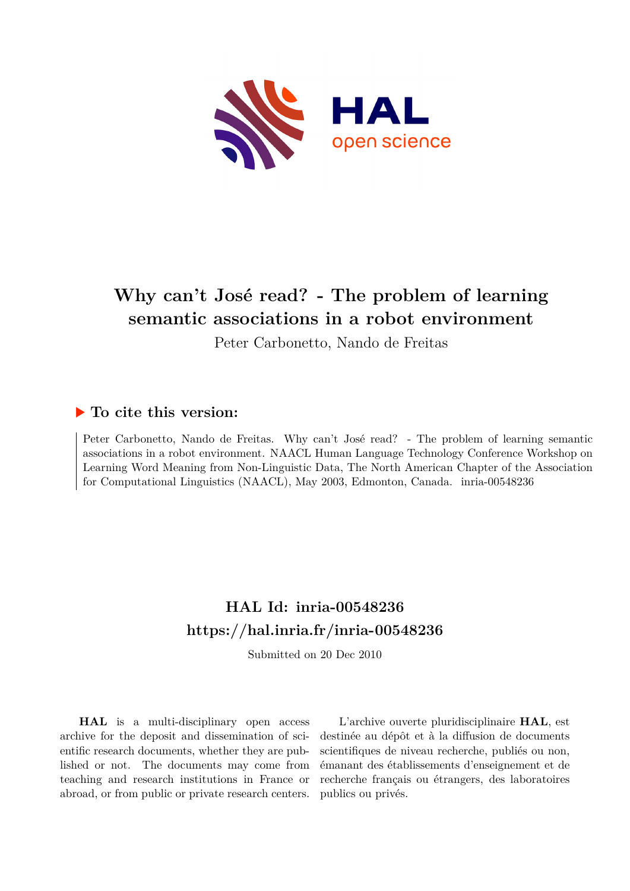

# **Why can't José read? - The problem of learning semantic associations in a robot environment**

Peter Carbonetto, Nando de Freitas

## **To cite this version:**

Peter Carbonetto, Nando de Freitas. Why can't José read? - The problem of learning semantic associations in a robot environment. NAACL Human Language Technology Conference Workshop on Learning Word Meaning from Non-Linguistic Data, The North American Chapter of the Association for Computational Linguistics (NAACL), May 2003, Edmonton, Canada. inria-00548236

# **HAL Id: inria-00548236 <https://hal.inria.fr/inria-00548236>**

Submitted on 20 Dec 2010

**HAL** is a multi-disciplinary open access archive for the deposit and dissemination of scientific research documents, whether they are published or not. The documents may come from teaching and research institutions in France or abroad, or from public or private research centers.

L'archive ouverte pluridisciplinaire **HAL**, est destinée au dépôt et à la diffusion de documents scientifiques de niveau recherche, publiés ou non, émanant des établissements d'enseignement et de recherche français ou étrangers, des laboratoires publics ou privés.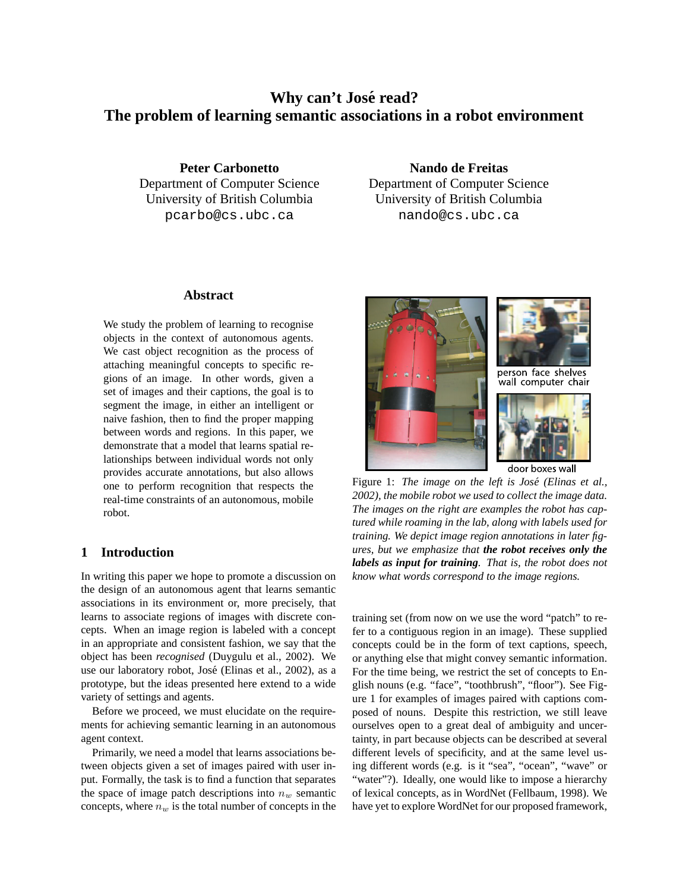## **Why can't Jose´ read? The problem of learning semantic associations in a robot environment**

**Peter Carbonetto** Department of Computer Science University of British Columbia pcarbo@cs.ubc.ca

**Nando de Freitas** Department of Computer Science University of British Columbia nando@cs.ubc.ca

### **Abstract**

We study the problem of learning to recognise objects in the context of autonomous agents. We cast object recognition as the process of attaching meaningful concepts to specific regions of an image. In other words, given a set of images and their captions, the goal is to segment the image, in either an intelligent or naive fashion, then to find the proper mapping between words and regions. In this paper, we demonstrate that a model that learns spatial relationships between individual words not only provides accurate annotations, but also allows one to perform recognition that respects the real-time constraints of an autonomous, mobile robot.

## **1 Introduction**

In writing this paper we hope to promote a discussion on the design of an autonomous agent that learns semantic associations in its environment or, more precisely, that learns to associate regions of images with discrete concepts. When an image region is labeled with a concept in an appropriate and consistent fashion, we say that the object has been *recognised* (Duygulu et al., 2002). We use our laboratory robot, José (Elinas et al., 2002), as a prototype, but the ideas presented here extend to a wide variety of settings and agents.

Before we proceed, we must elucidate on the requirements for achieving semantic learning in an autonomous agent context.

Primarily, we need a model that learns associations between objects given a set of images paired with user input. Formally, the task is to find a function that separates the space of image patch descriptions into  $n_w$  semantic concepts, where  $n_w$  is the total number of concepts in the



Figure 1: *The image on the left is Jose´ (Elinas et al., 2002), the mobile robot we used to collect the image data. The images on the right are examples the robot has captured while roaming in the lab, along with labels used for training. We depict image region annotations in later figures, but we emphasize that the robot receives only the labels as input for training. That is, the robot does not know what words correspond to the image regions.*

training set (from now on we use the word "patch" to refer to a contiguous region in an image). These supplied concepts could be in the form of text captions, speech, or anything else that might convey semantic information. For the time being, we restrict the set of concepts to English nouns (e.g. "face", "toothbrush", "floor"). See Figure 1 for examples of images paired with captions composed of nouns. Despite this restriction, we still leave ourselves open to a great deal of ambiguity and uncertainty, in part because objects can be described at several different levels of specificity, and at the same level using different words (e.g. is it "sea", "ocean", "wave" or "water"?). Ideally, one would like to impose a hierarchy of lexical concepts, as in WordNet (Fellbaum, 1998). We have yet to explore WordNet for our proposed framework,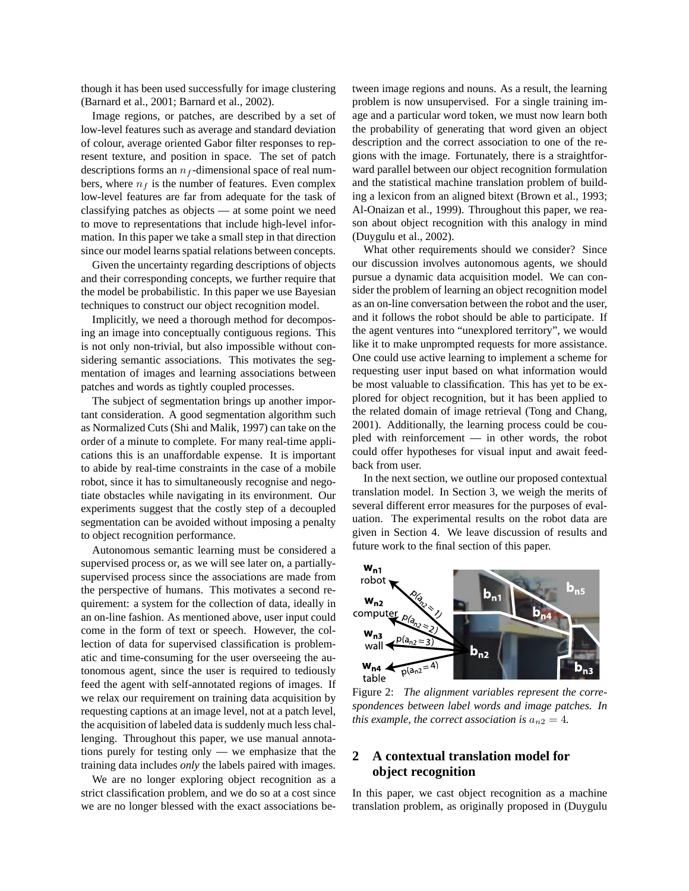though it has been used successfully for image clustering (Barnard et al., 2001; Barnard et al., 2002).

Image regions, or patches, are described by a set of low-level features such as average and standard deviation of colour, average oriented Gabor filter responses to represent texture, and position in space. The set of patch descriptions forms an  $n_f$ -dimensional space of real numbers, where  $n_f$  is the number of features. Even complex low-level features are far from adequate for the task of classifying patches as objects — at some point we need to move to representations that include high-level information. In this paper we take a small step in that direction since our model learns spatial relations between concepts.

Given the uncertainty regarding descriptions of objects and their corresponding concepts, we further require that the model be probabilistic. In this paper we use Bayesian techniques to construct our object recognition model.

Implicitly, we need a thorough method for decomposing an image into conceptually contiguous regions. This is not only non-trivial, but also impossible without considering semantic associations. This motivates the segmentation of images and learning associations between patches and words as tightly coupled processes.

The subject of segmentation brings up another important consideration. A good segmentation algorithm such as Normalized Cuts (Shi and Malik, 1997) can take on the order of a minute to complete. For many real-time applications this is an unaffordable expense. It is important to abide by real-time constraints in the case of a mobile robot, since it has to simultaneously recognise and negotiate obstacles while navigating in its environment. Our experiments suggest that the costly step of a decoupled segmentation can be avoided without imposing a penalty to object recognition performance.

Autonomous semantic learning must be considered a supervised process or, as we will see later on, a partiallysupervised process since the associations are made from the perspective of humans. This motivates a second requirement: a system for the collection of data, ideally in an on-line fashion. As mentioned above, user input could come in the form of text or speech. However, the collection of data for supervised classification is problematic and time-consuming for the user overseeing the autonomous agent, since the user is required to tediously feed the agent with self-annotated regions of images. If we relax our requirement on training data acquisition by requesting captions at an image level, not at a patch level, the acquisition of labeled data is suddenly much less challenging. Throughout this paper, we use manual annotations purely for testing only — we emphasize that the training data includes *only* the labels paired with images.

We are no longer exploring object recognition as a strict classification problem, and we do so at a cost since we are no longer blessed with the exact associations between image regions and nouns. As a result, the learning problem is now unsupervised. For a single training image and a particular word token, we must now learn both the probability of generating that word given an object description and the correct association to one of the regions with the image. Fortunately, there is a straightforward parallel between our object recognition formulation and the statistical machine translation problem of building a lexicon from an aligned bitext (Brown et al., 1993; Al-Onaizan et al., 1999). Throughout this paper, we reason about object recognition with this analogy in mind (Duygulu et al., 2002).

What other requirements should we consider? Since our discussion involves autonomous agents, we should pursue a dynamic data acquisition model. We can consider the problem of learning an object recognition model as an on-line conversation between the robot and the user, and it follows the robot should be able to participate. If the agent ventures into "unexplored territory", we would like it to make unprompted requests for more assistance. One could use active learning to implement a scheme for requesting user input based on what information would be most valuable to classification. This has yet to be explored for object recognition, but it has been applied to the related domain of image retrieval (Tong and Chang, 2001). Additionally, the learning process could be coupled with reinforcement — in other words, the robot could offer hypotheses for visual input and await feedback from user.

In the next section, we outline our proposed contextual translation model. In Section 3, we weigh the merits of several different error measures for the purposes of evaluation. The experimental results on the robot data are given in Section 4. We leave discussion of results and future work to the final section of this paper.



Figure 2: *The alignment variables represent the correspondences between label words and image patches. In this example, the correct association is*  $a_{n2} = 4$ *.* 

## **2 A contextual translation model for object recognition**

In this paper, we cast object recognition as a machine translation problem, as originally proposed in (Duygulu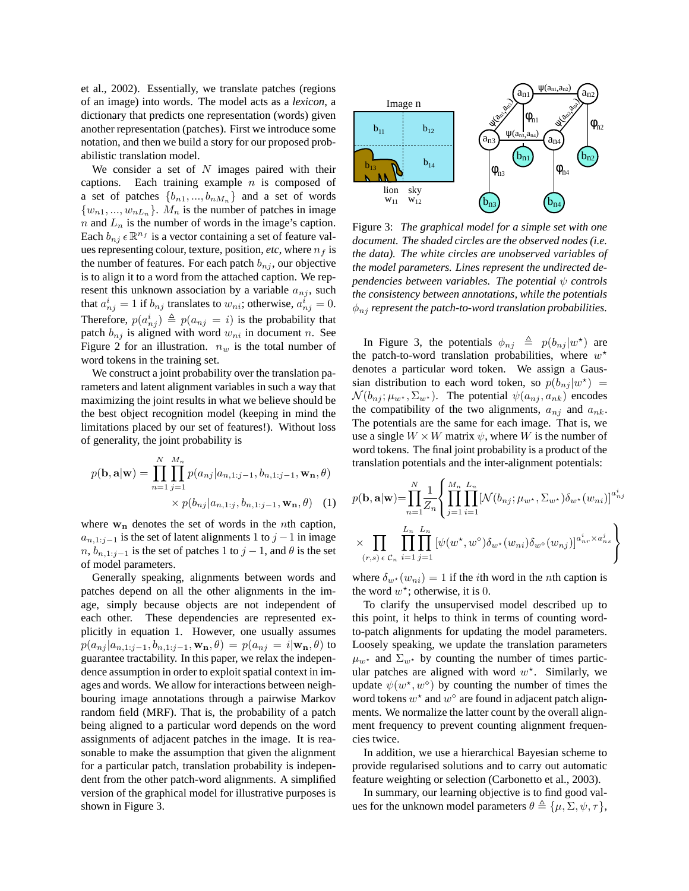et al., 2002). Essentially, we translate patches (regions of an image) into words. The model acts as a *lexicon*, a dictionary that predicts one representation (words) given another representation (patches). First we introduce some notation, and then we build a story for our proposed probabilistic translation model.

We consider a set of  $N$  images paired with their captions. Each training example  $n$  is composed of a set of patches  $\{b_{n1},...,b_{nM_n}\}$  and a set of words  $\{w_{n1},...,w_{nL_n}\}\$ .  $M_n$  is the number of patches in image n and  $L_n$  is the number of words in the image's caption. Each  $b_{nj}$   $\in \mathbb{R}^{n_f}$  is a vector containing a set of feature values representing colour, texture, position, *etc*, where  $n_f$  is the number of features. For each patch  $b_{nj}$ , our objective is to align it to a word from the attached caption. We represent this unknown association by a variable  $a_{ni}$ , such that  $a_{nj}^i = 1$  if  $b_{nj}$  translates to  $w_{ni}$ ; otherwise,  $a_{nj}^i = 0$ . Therefore,  $p(a_{nj}^i) \triangleq p(a_{nj} = i)$  is the probability that patch  $b_{nj}$  is aligned with word  $w_{ni}$  in document n. See Figure 2 for an illustration.  $n_w$  is the total number of word tokens in the training set.

We construct a joint probability over the translation parameters and latent alignment variables in such a way that maximizing the joint results in what we believe should be the best object recognition model (keeping in mind the limitations placed by our set of features!). Without loss of generality, the joint probability is

$$
p(\mathbf{b}, \mathbf{a}|\mathbf{w}) = \prod_{n=1}^{N} \prod_{j=1}^{M_n} p(a_{nj}|a_{n,1:j-1}, b_{n,1:j-1}, \mathbf{w}_n, \theta)
$$

$$
\times p(b_{nj}|a_{n,1:j}, b_{n,1:j-1}, \mathbf{w}_n, \theta) \quad (1)
$$

where  $w_n$  denotes the set of words in the *n*th caption,  $a_{n,1:j-1}$  is the set of latent alignments 1 to  $j-1$  in image  $n, b_{n,1:j-1}$  is the set of patches 1 to  $j-1$ , and  $\theta$  is the set of model parameters.

Generally speaking, alignments between words and patches depend on all the other alignments in the image, simply because objects are not independent of each other. These dependencies are represented explicitly in equation 1. However, one usually assumes  $p(a_{nj}|a_{n,1:j-1}, b_{n,1:j-1}, \mathbf{w_n}, \theta) = p(a_{nj} = i | \mathbf{w_n}, \theta)$  to guarantee tractability. In this paper, we relax the independence assumption in order to exploit spatial context in images and words. We allow for interactions between neighbouring image annotations through a pairwise Markov random field (MRF). That is, the probability of a patch being aligned to a particular word depends on the word assignments of adjacent patches in the image. It is reasonable to make the assumption that given the alignment for a particular patch, translation probability is independent from the other patch-word alignments. A simplified version of the graphical model for illustrative purposes is shown in Figure 3.



Figure 3: *The graphical model for a simple set with one document. The shaded circles are the observed nodes (i.e. the data). The white circles are unobserved variables of the model parameters. Lines represent the undirected dependencies between variables. The potential* ψ *controls the consistency between annotations, while the potentials*  $\phi_{ni}$  *represent the patch-to-word translation probabilities.* 

In Figure 3, the potentials  $\phi_{nj} \triangleq p(b_{nj} |w^*)$  are the patch-to-word translation probabilities, where  $w^*$ denotes a particular word token. We assign a Gaussian distribution to each word token, so  $p(b_{nj}|w^*)$  =  $\mathcal{N}(b_{ni}; \mu_{w^*}, \Sigma_{w^*})$ . The potential  $\psi(a_{ni}, a_{nk})$  encodes the compatibility of the two alignments,  $a_{nj}$  and  $a_{nk}$ . The potentials are the same for each image. That is, we use a single  $W \times W$  matrix  $\psi$ , where W is the number of word tokens. The final joint probability is a product of the translation potentials and the inter-alignment potentials:

$$
p(\mathbf{b}, \mathbf{a}|\mathbf{w}) = \prod_{n=1}^{N} \frac{1}{Z_n} \left\{ \prod_{j=1}^{M_n} \prod_{i=1}^{L_n} [\mathcal{N}(b_{nj}; \mu_{w^*}, \Sigma_{w^*}) \delta_{w^*}(w_{ni})]^{a_{nj}^i}
$$

$$
\times \prod_{(r,s) \in \mathcal{C}_n} \prod_{i=1}^{L_n} \prod_{j=1}^{L_n} [\psi(w^*, w^{\diamond}) \delta_{w^*}(w_{ni}) \delta_{w^{\diamond}}(w_{nj})]^{a_{nr}^i \times a_{ns}^j} \right\}
$$

where  $\delta_{w^*}(w_{ni}) = 1$  if the *i*th word in the *n*th caption is the word  $w^*$ ; otherwise, it is 0.

To clarify the unsupervised model described up to this point, it helps to think in terms of counting wordto-patch alignments for updating the model parameters. Loosely speaking, we update the translation parameters  $\mu_{w^*}$  and  $\Sigma_{w^*}$  by counting the number of times particular patches are aligned with word  $w^*$ . Similarly, we update  $\psi(w^*, w^{\diamond})$  by counting the number of times the word tokens  $w^*$  and  $w^{\diamond}$  are found in adjacent patch alignments. We normalize the latter count by the overall alignment frequency to prevent counting alignment frequencies twice.

In addition, we use a hierarchical Bayesian scheme to provide regularised solutions and to carry out automatic feature weighting or selection (Carbonetto et al., 2003).

In summary, our learning objective is to find good values for the unknown model parameters  $\theta \triangleq {\mu, \Sigma, \psi, \tau}$ ,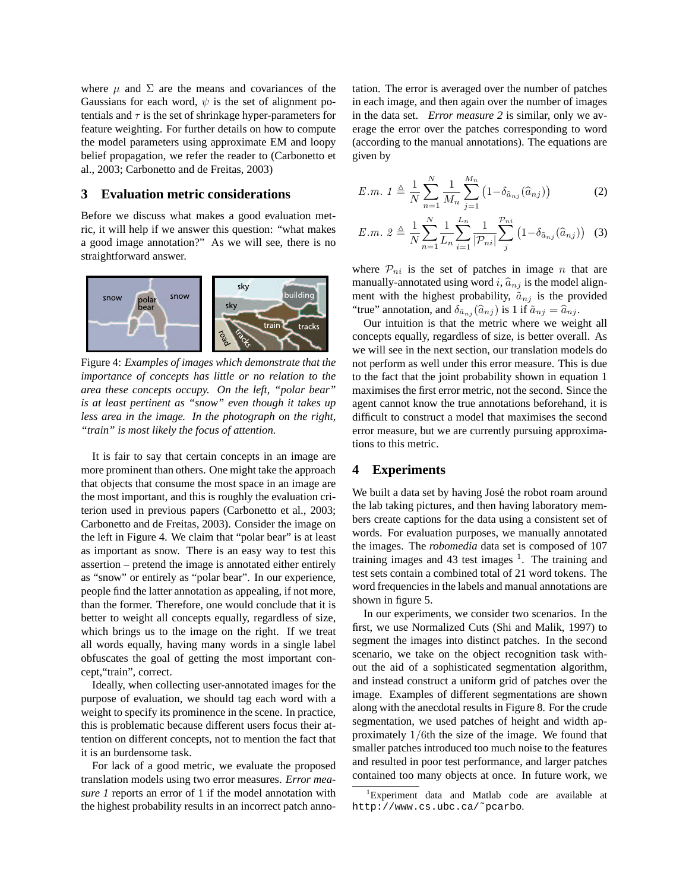where  $\mu$  and  $\Sigma$  are the means and covariances of the Gaussians for each word,  $\psi$  is the set of alignment potentials and  $\tau$  is the set of shrinkage hyper-parameters for feature weighting. For further details on how to compute the model parameters using approximate EM and loopy belief propagation, we refer the reader to (Carbonetto et al., 2003; Carbonetto and de Freitas, 2003)

#### **3 Evaluation metric considerations**

Before we discuss what makes a good evaluation metric, it will help if we answer this question: "what makes a good image annotation?" As we will see, there is no straightforward answer.



Figure 4: *Examples of images which demonstrate that the importance of concepts has little or no relation to the area these concepts occupy. On the left, "polar bear" is at least pertinent as "snow" even though it takes up less area in the image. In the photograph on the right, "train" is most likely the focus of attention.*

It is fair to say that certain concepts in an image are more prominent than others. One might take the approach that objects that consume the most space in an image are the most important, and this is roughly the evaluation criterion used in previous papers (Carbonetto et al., 2003; Carbonetto and de Freitas, 2003). Consider the image on the left in Figure 4. We claim that "polar bear" is at least as important as snow. There is an easy way to test this assertion – pretend the image is annotated either entirely as "snow" or entirely as "polar bear". In our experience, people find the latter annotation as appealing, if not more, than the former. Therefore, one would conclude that it is better to weight all concepts equally, regardless of size, which brings us to the image on the right. If we treat all words equally, having many words in a single label obfuscates the goal of getting the most important concept,"train", correct.

Ideally, when collecting user-annotated images for the purpose of evaluation, we should tag each word with a weight to specify its prominence in the scene. In practice, this is problematic because different users focus their attention on different concepts, not to mention the fact that it is an burdensome task.

For lack of a good metric, we evaluate the proposed translation models using two error measures. *Error measure 1* reports an error of 1 if the model annotation with the highest probability results in an incorrect patch annotation. The error is averaged over the number of patches in each image, and then again over the number of images in the data set. *Error measure 2* is similar, only we average the error over the patches corresponding to word (according to the manual annotations). The equations are given by

$$
E.m. 1 \triangleq \frac{1}{N} \sum_{n=1}^{N} \frac{1}{M_n} \sum_{j=1}^{M_n} (1 - \delta_{\tilde{a}_{nj}}(\hat{a}_{nj})) \tag{2}
$$

$$
E.m. 2 \triangleq \frac{1}{N} \sum_{n=1}^{N} \frac{1}{L_n} \sum_{i=1}^{L_n} \frac{1}{|\mathcal{P}_{ni}|} \sum_{j}^{\mathcal{P}_{ni}} (1 - \delta_{\tilde{a}_{nj}}(\hat{a}_{nj})) \quad (3)
$$

where  $P_{ni}$  is the set of patches in image n that are manually-annotated using word i,  $\hat{a}_{nj}$  is the model alignment with the highest probability,  $\tilde{a}_{nj}$  is the provided "true" annotation, and  $\delta_{\tilde{a}_{ni}}(\hat{a}_{ni})$  is 1 if  $\tilde{a}_{ni} = \hat{a}_{ni}$ .

Our intuition is that the metric where we weight all concepts equally, regardless of size, is better overall. As we will see in the next section, our translation models do not perform as well under this error measure. This is due to the fact that the joint probability shown in equation 1 maximises the first error metric, not the second. Since the agent cannot know the true annotations beforehand, it is difficult to construct a model that maximises the second error measure, but we are currently pursuing approximations to this metric.

### **4 Experiments**

We built a data set by having José the robot roam around the lab taking pictures, and then having laboratory members create captions for the data using a consistent set of words. For evaluation purposes, we manually annotated the images. The *robomedia* data set is composed of 107 training images and 43 test images  $1$ . The training and test sets contain a combined total of 21 word tokens. The word frequencies in the labels and manual annotations are shown in figure 5.

In our experiments, we consider two scenarios. In the first, we use Normalized Cuts (Shi and Malik, 1997) to segment the images into distinct patches. In the second scenario, we take on the object recognition task without the aid of a sophisticated segmentation algorithm, and instead construct a uniform grid of patches over the image. Examples of different segmentations are shown along with the anecdotal results in Figure 8. For the crude segmentation, we used patches of height and width approximately 1/6th the size of the image. We found that smaller patches introduced too much noise to the features and resulted in poor test performance, and larger patches contained too many objects at once. In future work, we

<sup>&</sup>lt;sup>1</sup>Experiment data and Matlab code are available at http://www.cs.ubc.ca/˜pcarbo.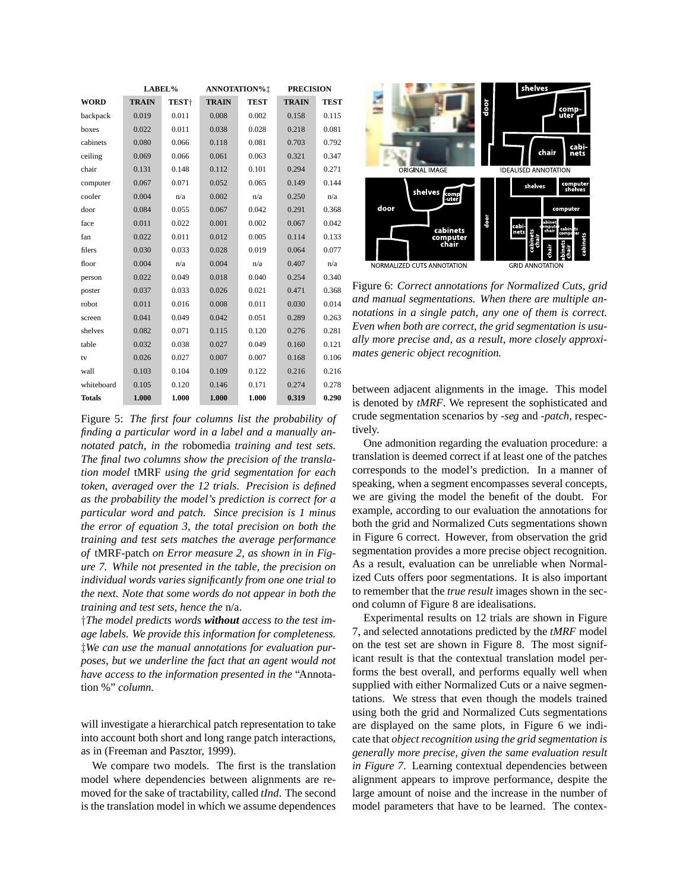|               | LABEL%       |                   | ANNOTATION%! |             | <b>PRECISION</b> |             |
|---------------|--------------|-------------------|--------------|-------------|------------------|-------------|
| <b>WORD</b>   | <b>TRAIN</b> | TEST <sup>+</sup> | <b>TRAIN</b> | <b>TEST</b> | <b>TRAIN</b>     | <b>TEST</b> |
| backpack      | 0.019        | 0.011             | 0.008        | 0.002       | 0.158            | 0.115       |
| boxes         | 0.022        | 0.011             | 0.038        | 0.028       | 0.218            | 0.081       |
| cabinets      | 0.080        | 0.066             | 0.118        | 0.081       | 0.703            | 0.792       |
| ceiling       | 0.069        | 0.066             | 0.061        | 0.063       | 0.321            | 0.347       |
| chair         | 0.131        | 0.148             | 0.112        | 0.101       | 0.294            | 0.271       |
| computer      | 0.067        | 0.071             | 0.052        | 0.065       | 0.149            | 0.144       |
| cooler        | 0.004        | n/a               | 0.002        | n/a         | 0.250            | n/a         |
| door          | 0.084        | 0.055             | 0.067        | 0.042       | 0.291            | 0.368       |
| face          | 0.011        | 0.022             | 0.001        | 0.002       | 0.067            | 0.042       |
| fan           | 0.022        | 0.011             | 0.012        | 0.005       | 0.114            | 0.133       |
| filers        | 0.030        | 0.033             | 0.028        | 0.019       | 0.064            | 0.077       |
| floor         | 0.004        | n/a               | 0.004        | n/a         | 0.407            | n/a         |
| person        | 0.022        | 0.049             | 0.018        | 0.040       | 0.254            | 0.340       |
| poster        | 0.037        | 0.033             | 0.026        | 0.021       | 0.471            | 0.368       |
| robot         | 0.011        | 0.016             | 0.008        | 0.011       | 0.030            | 0.014       |
| screen        | 0.041        | 0.049             | 0.042        | 0.051       | 0.289            | 0.263       |
| shelves       | 0.082        | 0.071             | 0.115        | 0.120       | 0.276            | 0.281       |
| table         | 0.032        | 0.038             | 0.027        | 0.049       | 0.160            | 0.121       |
| tv            | 0.026        | 0.027             | 0.007        | 0.007       | 0.168            | 0.106       |
| wall          | 0.103        | 0.104             | 0.109        | 0.122       | 0.216            | 0.216       |
| whiteboard    | 0.105        | 0.120             | 0.146        | 0.171       | 0.274            | 0.278       |
| <b>Totals</b> | 1.000        | 1.000             | 1.000        | 1.000       | 0.319            | 0.290       |

Figure 5: *The first four columns list the probability of finding a particular word in a label and a manually annotated patch, in the* robomedia *training and test sets. The final two columns show the precision of the translation model* tMRF *using the grid segmentation for each token, averaged over the 12 trials. Precision is defined as the probability the model's prediction is correct for a particular word and patch. Since precision is 1 minus the error of equation 3, the total precision on both the training and test sets matches the average performance of* tMRF-patch *on Error measure 2, as shown in in Figure 7. While not presented in the table, the precision on individual words varies significantly from one one trial to the next. Note that some words do not appear in both the training and test sets, hence the* n/a.

†*The model predicts words without access to the test image labels. We provide this information for completeness.* ‡*We can use the manual annotations for evaluation purposes, but we underline the fact that an agent would not have access to the information presented in the* "Annotation %" *column.*

will investigate a hierarchical patch representation to take into account both short and long range patch interactions, as in (Freeman and Pasztor, 1999).

We compare two models. The first is the translation model where dependencies between alignments are removed for the sake of tractability, called *tInd*. The second is the translation model in which we assume dependences



Figure 6: *Correct annotations for Normalized Cuts, grid and manual segmentations. When there are multiple annotations in a single patch, any one of them is correct. Even when both are correct, the grid segmentation is usually more precise and, as a result, more closely approximates generic object recognition.*

between adjacent alignments in the image. This model is denoted by *tMRF*. We represent the sophisticated and crude segmentation scenarios by *-seg* and *-patch*, respectively.

One admonition regarding the evaluation procedure: a translation is deemed correct if at least one of the patches corresponds to the model's prediction. In a manner of speaking, when a segment encompasses several concepts, we are giving the model the benefit of the doubt. For example, according to our evaluation the annotations for both the grid and Normalized Cuts segmentations shown in Figure 6 correct. However, from observation the grid segmentation provides a more precise object recognition. As a result, evaluation can be unreliable when Normalized Cuts offers poor segmentations. It is also important to remember that the *true result* images shown in the second column of Figure 8 are idealisations.

Experimental results on 12 trials are shown in Figure 7, and selected annotations predicted by the *tMRF* model on the test set are shown in Figure 8. The most significant result is that the contextual translation model performs the best overall, and performs equally well when supplied with either Normalized Cuts or a naive segmentations. We stress that even though the models trained using both the grid and Normalized Cuts segmentations are displayed on the same plots, in Figure 6 we indicate that *object recognition using the grid segmentation is generally more precise, given the same evaluation result in Figure 7*. Learning contextual dependencies between alignment appears to improve performance, despite the large amount of noise and the increase in the number of model parameters that have to be learned. The contex-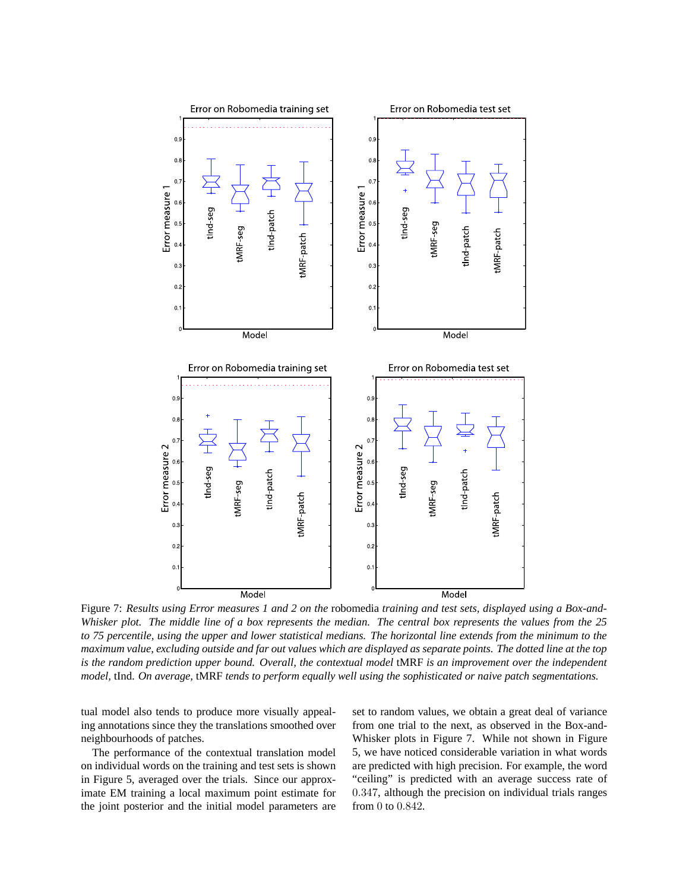

Figure 7: Results using Error measures 1 and 2 on the robomedia training and test sets, displayed using a Box-and-Whisker plot. The middle line of a box represents the median. The central box represents the values from the 25 to 75 percentile, using the upper and lower statistical medians. The horizontal line extends from the minimum to the maximum value, excluding outside and far out values which are displayed as separate points. The dotted line at the top *is the random prediction upper bound. Overall, the contextual model* tMRF *is an improvement over the independent model,* tInd. *On average,* tMRF *tends to perform equally well using the sophisticated or naive patch segmentations.*

tual model also tends to produce more visually appealing annotations since they the translations smoothed over neighbourhoods of patches.

The performance of the contextual translation model on individual words on the training and test sets is shown in Figure 5, averaged over the trials. Since our approximate EM training a local maximum point estimate for the joint posterior and the initial model parameters are

set to random values, we obtain a great deal of variance from one trial to the next, as observed in the Box-and-Whisker plots in Figure 7. While not shown in Figure 5, we have noticed considerable variation in what words are predicted with high precision. For example, the word "ceiling" is predicted with an average success rate of 0.347, although the precision on individual trials ranges from 0 to 0.842.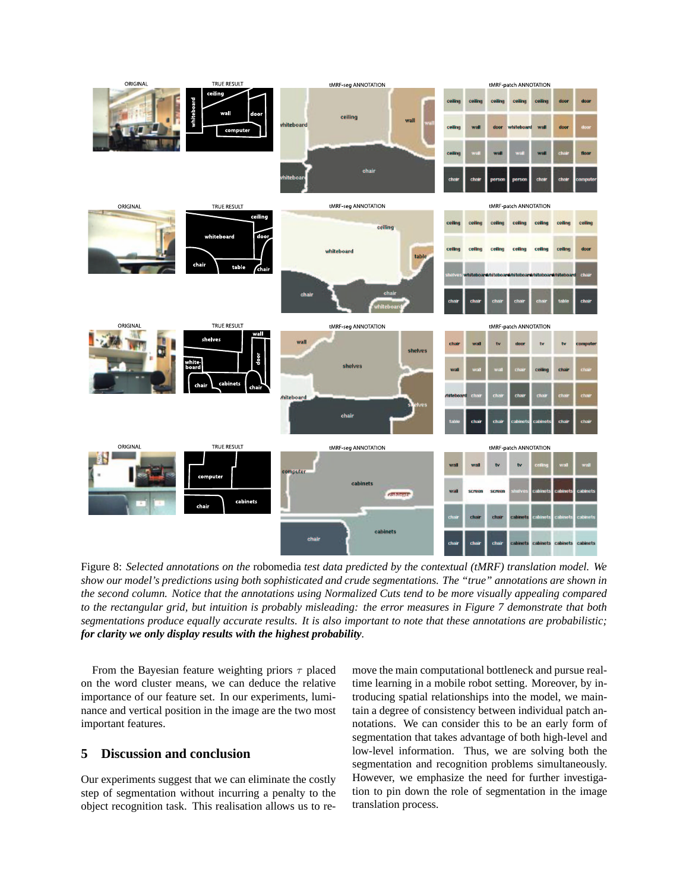

Figure 8: *Selected annotations on the* robomedia *test data predicted by the contextual (tMRF) translation model. We* show our model's predictions using both sophisticated and crude segmentations. The "true" annotations are shown in the second column. Notice that the annotations using Normalized Cuts tend to be more visually appealing compared to the rectangular grid, but intuition is probably misleading: the error measures in Figure 7 demonstrate that both segmentations produce equally accurate results. It is also important to note that these annotations are probabilistic; *for clarity we only display results with the highest probability.*

From the Bayesian feature weighting priors  $\tau$  placed on the word cluster means, we can deduce the relative importance of our feature set. In our experiments, luminance and vertical position in the image are the two most important features.

## **5 Discussion and conclusion**

Our experiments suggest that we can eliminate the costly step of segmentation without incurring a penalty to the object recognition task. This realisation allows us to remove the main computational bottleneck and pursue realtime learning in a mobile robot setting. Moreover, by introducing spatial relationships into the model, we maintain a degree of consistency between individual patch annotations. We can consider this to be an early form of segmentation that takes advantage of both high-level and low-level information. Thus, we are solving both the segmentation and recognition problems simultaneously. However, we emphasize the need for further investigation to pin down the role of segmentation in the image translation process.